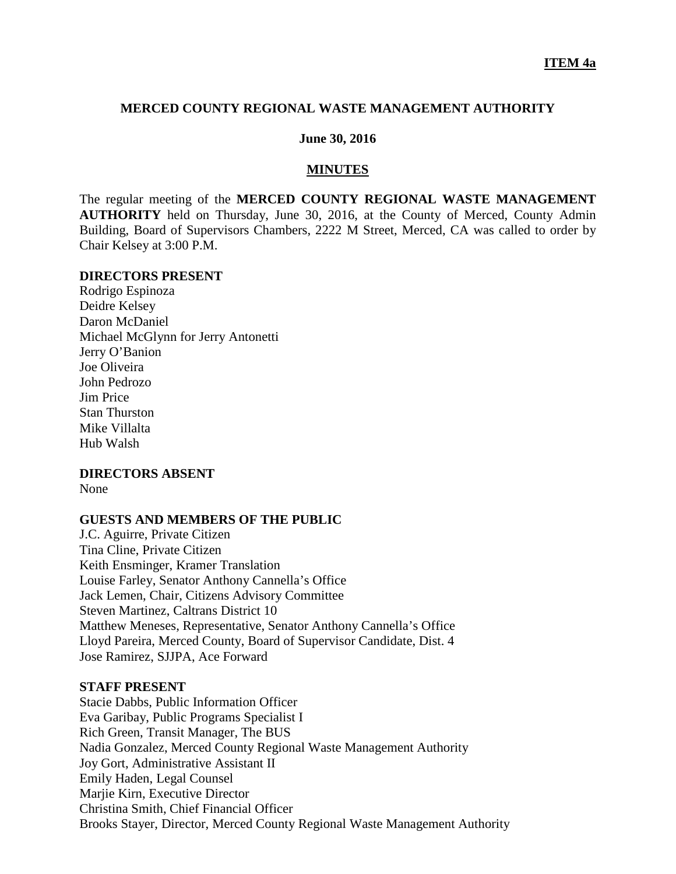### **MERCED COUNTY REGIONAL WASTE MANAGEMENT AUTHORITY**

### **June 30, 2016**

### **MINUTES**

The regular meeting of the **MERCED COUNTY REGIONAL WASTE MANAGEMENT AUTHORITY** held on Thursday, June 30, 2016, at the County of Merced, County Admin Building, Board of Supervisors Chambers, 2222 M Street, Merced, CA was called to order by Chair Kelsey at 3:00 P.M.

### **DIRECTORS PRESENT**

Rodrigo Espinoza Deidre Kelsey Daron McDaniel Michael McGlynn for Jerry Antonetti Jerry O'Banion Joe Oliveira John Pedrozo Jim Price Stan Thurston Mike Villalta Hub Walsh

### **DIRECTORS ABSENT**

None

#### **GUESTS AND MEMBERS OF THE PUBLIC**

J.C. Aguirre, Private Citizen Tina Cline, Private Citizen Keith Ensminger, Kramer Translation Louise Farley, Senator Anthony Cannella's Office Jack Lemen, Chair, Citizens Advisory Committee Steven Martinez, Caltrans District 10 Matthew Meneses, Representative, Senator Anthony Cannella's Office Lloyd Pareira, Merced County, Board of Supervisor Candidate, Dist. 4 Jose Ramirez, SJJPA, Ace Forward

### **STAFF PRESENT**

Stacie Dabbs, Public Information Officer Eva Garibay, Public Programs Specialist I Rich Green, Transit Manager, The BUS Nadia Gonzalez, Merced County Regional Waste Management Authority Joy Gort, Administrative Assistant II Emily Haden, Legal Counsel Marjie Kirn, Executive Director Christina Smith, Chief Financial Officer Brooks Stayer, Director, Merced County Regional Waste Management Authority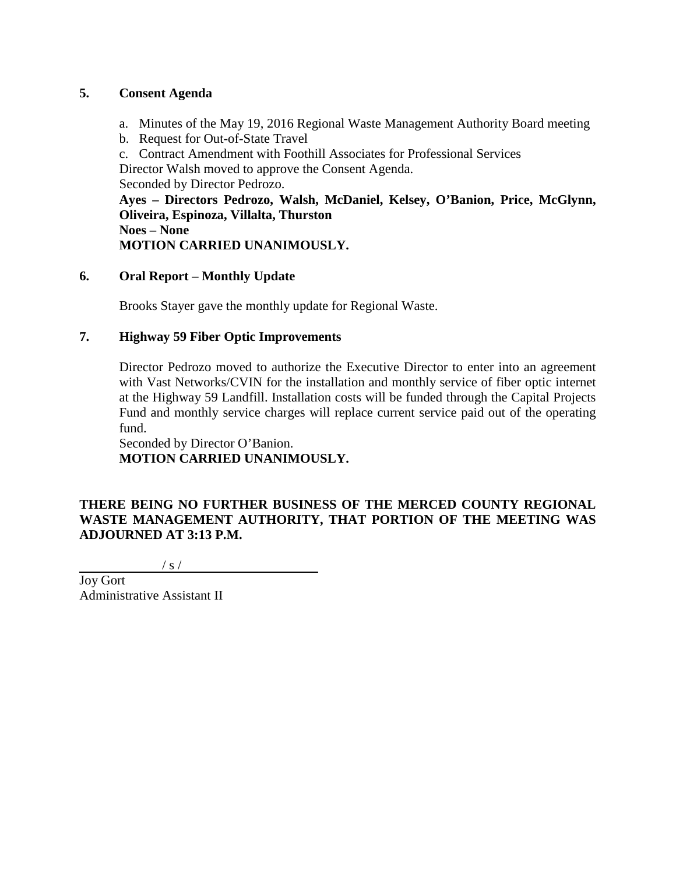## **5. Consent Agenda**

- a. Minutes of the May 19, 2016 Regional Waste Management Authority Board meeting
- b. Request for Out-of-State Travel
- c. Contract Amendment with Foothill Associates for Professional Services

Director Walsh moved to approve the Consent Agenda.

Seconded by Director Pedrozo.

**Ayes – Directors Pedrozo, Walsh, McDaniel, Kelsey, O'Banion, Price, McGlynn, Oliveira, Espinoza, Villalta, Thurston Noes – None MOTION CARRIED UNANIMOUSLY.**

## **6. Oral Report – Monthly Update**

Brooks Stayer gave the monthly update for Regional Waste.

## **7. Highway 59 Fiber Optic Improvements**

Director Pedrozo moved to authorize the Executive Director to enter into an agreement with Vast Networks/CVIN for the installation and monthly service of fiber optic internet at the Highway 59 Landfill. Installation costs will be funded through the Capital Projects Fund and monthly service charges will replace current service paid out of the operating fund.

Seconded by Director O'Banion. **MOTION CARRIED UNANIMOUSLY.**

# **THERE BEING NO FURTHER BUSINESS OF THE MERCED COUNTY REGIONAL WASTE MANAGEMENT AUTHORITY, THAT PORTION OF THE MEETING WAS ADJOURNED AT 3:13 P.M.**

 $\frac{1}{s}$  /

Joy Gort Administrative Assistant II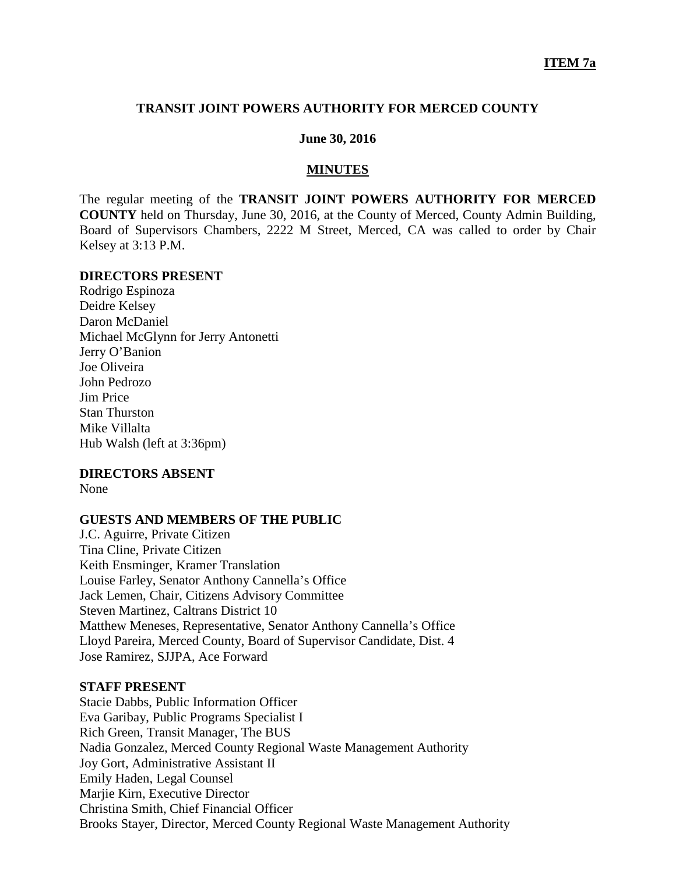### **TRANSIT JOINT POWERS AUTHORITY FOR MERCED COUNTY**

### **June 30, 2016**

### **MINUTES**

The regular meeting of the **TRANSIT JOINT POWERS AUTHORITY FOR MERCED COUNTY** held on Thursday, June 30, 2016, at the County of Merced, County Admin Building, Board of Supervisors Chambers, 2222 M Street, Merced, CA was called to order by Chair Kelsey at 3:13 P.M.

### **DIRECTORS PRESENT**

Rodrigo Espinoza Deidre Kelsey Daron McDaniel Michael McGlynn for Jerry Antonetti Jerry O'Banion Joe Oliveira John Pedrozo Jim Price Stan Thurston Mike Villalta Hub Walsh (left at 3:36pm)

### **DIRECTORS ABSENT**

None

### **GUESTS AND MEMBERS OF THE PUBLIC**

J.C. Aguirre, Private Citizen Tina Cline, Private Citizen Keith Ensminger, Kramer Translation Louise Farley, Senator Anthony Cannella's Office Jack Lemen, Chair, Citizens Advisory Committee Steven Martinez, Caltrans District 10 Matthew Meneses, Representative, Senator Anthony Cannella's Office Lloyd Pareira, Merced County, Board of Supervisor Candidate, Dist. 4 Jose Ramirez, SJJPA, Ace Forward

### **STAFF PRESENT**

Stacie Dabbs, Public Information Officer Eva Garibay, Public Programs Specialist I Rich Green, Transit Manager, The BUS Nadia Gonzalez, Merced County Regional Waste Management Authority Joy Gort, Administrative Assistant II Emily Haden, Legal Counsel Marjie Kirn, Executive Director Christina Smith, Chief Financial Officer Brooks Stayer, Director, Merced County Regional Waste Management Authority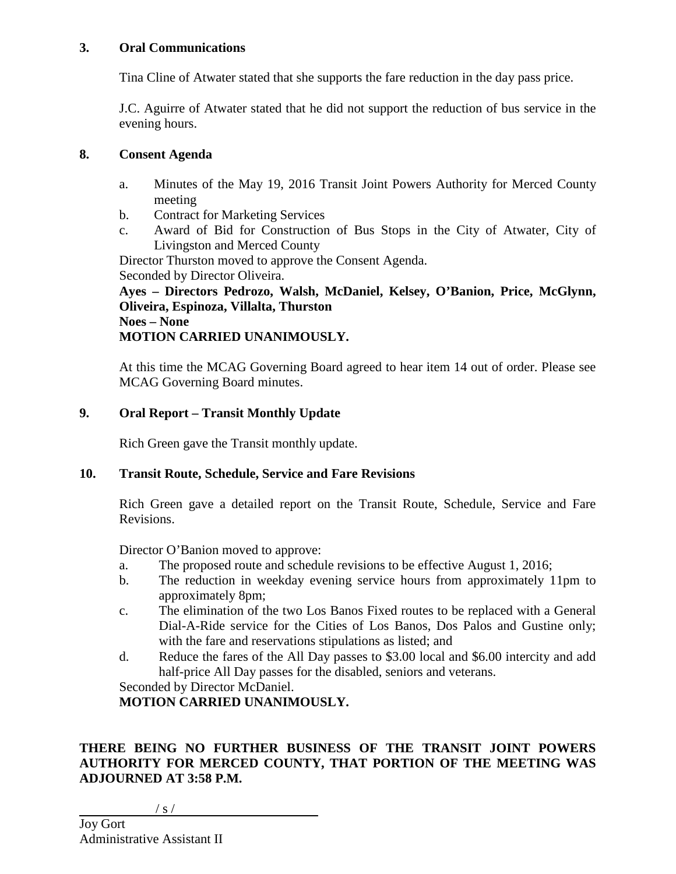## **3. Oral Communications**

Tina Cline of Atwater stated that she supports the fare reduction in the day pass price.

J.C. Aguirre of Atwater stated that he did not support the reduction of bus service in the evening hours.

## **8. Consent Agenda**

- a. Minutes of the May 19, 2016 Transit Joint Powers Authority for Merced County meeting
- b. Contract for Marketing Services
- c. Award of Bid for Construction of Bus Stops in the City of Atwater, City of Livingston and Merced County

Director Thurston moved to approve the Consent Agenda.

Seconded by Director Oliveira.

**Ayes – Directors Pedrozo, Walsh, McDaniel, Kelsey, O'Banion, Price, McGlynn, Oliveira, Espinoza, Villalta, Thurston Noes – None MOTION CARRIED UNANIMOUSLY.**

At this time the MCAG Governing Board agreed to hear item 14 out of order. Please see MCAG Governing Board minutes.

# **9. Oral Report – Transit Monthly Update**

Rich Green gave the Transit monthly update.

## **10. Transit Route, Schedule, Service and Fare Revisions**

Rich Green gave a detailed report on the Transit Route, Schedule, Service and Fare Revisions.

Director O'Banion moved to approve:

- a. The proposed route and schedule revisions to be effective August 1, 2016;
- b. The reduction in weekday evening service hours from approximately 11pm to approximately 8pm;
- c. The elimination of the two Los Banos Fixed routes to be replaced with a General Dial-A-Ride service for the Cities of Los Banos, Dos Palos and Gustine only; with the fare and reservations stipulations as listed; and
- d. Reduce the fares of the All Day passes to \$3.00 local and \$6.00 intercity and add half-price All Day passes for the disabled, seniors and veterans.

Seconded by Director McDaniel.

**MOTION CARRIED UNANIMOUSLY.**

# **THERE BEING NO FURTHER BUSINESS OF THE TRANSIT JOINT POWERS AUTHORITY FOR MERCED COUNTY, THAT PORTION OF THE MEETING WAS ADJOURNED AT 3:58 P.M.**

### / s /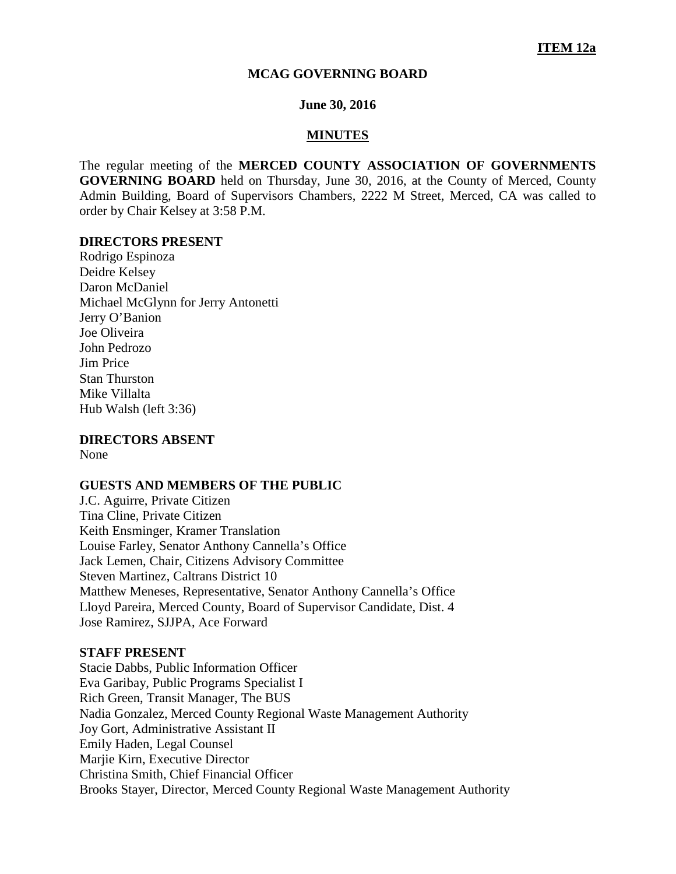### **MCAG GOVERNING BOARD**

### **June 30, 2016**

#### **MINUTES**

The regular meeting of the **MERCED COUNTY ASSOCIATION OF GOVERNMENTS GOVERNING BOARD** held on Thursday, June 30, 2016, at the County of Merced, County Admin Building, Board of Supervisors Chambers, 2222 M Street, Merced, CA was called to order by Chair Kelsey at 3:58 P.M.

#### **DIRECTORS PRESENT**

Rodrigo Espinoza Deidre Kelsey Daron McDaniel Michael McGlynn for Jerry Antonetti Jerry O'Banion Joe Oliveira John Pedrozo Jim Price Stan Thurston Mike Villalta Hub Walsh (left 3:36)

**DIRECTORS ABSENT**

None

### **GUESTS AND MEMBERS OF THE PUBLIC**

J.C. Aguirre, Private Citizen Tina Cline, Private Citizen Keith Ensminger, Kramer Translation Louise Farley, Senator Anthony Cannella's Office Jack Lemen, Chair, Citizens Advisory Committee Steven Martinez, Caltrans District 10 Matthew Meneses, Representative, Senator Anthony Cannella's Office Lloyd Pareira, Merced County, Board of Supervisor Candidate, Dist. 4 Jose Ramirez, SJJPA, Ace Forward

### **STAFF PRESENT**

Stacie Dabbs, Public Information Officer Eva Garibay, Public Programs Specialist I Rich Green, Transit Manager, The BUS Nadia Gonzalez, Merced County Regional Waste Management Authority Joy Gort, Administrative Assistant II Emily Haden, Legal Counsel Marjie Kirn, Executive Director Christina Smith, Chief Financial Officer Brooks Stayer, Director, Merced County Regional Waste Management Authority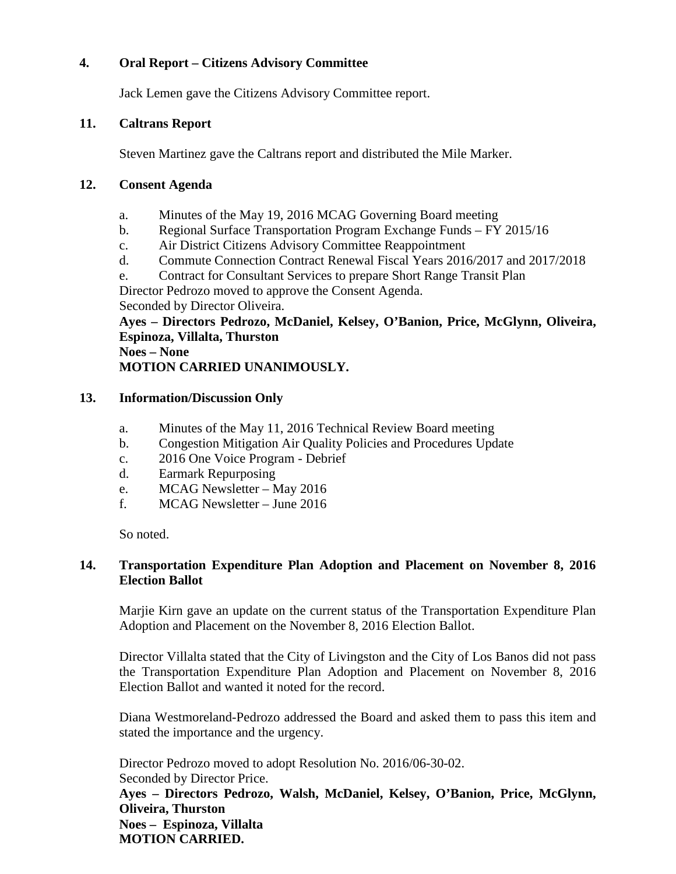## **4. Oral Report – Citizens Advisory Committee**

Jack Lemen gave the Citizens Advisory Committee report.

### **11. Caltrans Report**

Steven Martinez gave the Caltrans report and distributed the Mile Marker.

## **12. Consent Agenda**

- a. Minutes of the May 19, 2016 MCAG Governing Board meeting
- b. Regional Surface Transportation Program Exchange Funds FY 2015/16
- c. Air District Citizens Advisory Committee Reappointment
- d. Commute Connection Contract Renewal Fiscal Years 2016/2017 and 2017/2018
- e. Contract for Consultant Services to prepare Short Range Transit Plan

Director Pedrozo moved to approve the Consent Agenda. Seconded by Director Oliveira.

**Ayes – Directors Pedrozo, McDaniel, Kelsey, O'Banion, Price, McGlynn, Oliveira, Espinoza, Villalta, Thurston**

**Noes – None MOTION CARRIED UNANIMOUSLY.**

## **13. Information/Discussion Only**

- a. Minutes of the May 11, 2016 Technical Review Board meeting
- b. Congestion Mitigation Air Quality Policies and Procedures Update
- c. 2016 One Voice Program Debrief
- d. Earmark Repurposing
- e. MCAG Newsletter May 2016
- f. MCAG Newsletter June 2016

So noted.

## **14. Transportation Expenditure Plan Adoption and Placement on November 8, 2016 Election Ballot**

Marjie Kirn gave an update on the current status of the Transportation Expenditure Plan Adoption and Placement on the November 8, 2016 Election Ballot.

Director Villalta stated that the City of Livingston and the City of Los Banos did not pass the Transportation Expenditure Plan Adoption and Placement on November 8, 2016 Election Ballot and wanted it noted for the record.

Diana Westmoreland-Pedrozo addressed the Board and asked them to pass this item and stated the importance and the urgency.

Director Pedrozo moved to adopt Resolution No. 2016/06-30-02. Seconded by Director Price. **Ayes – Directors Pedrozo, Walsh, McDaniel, Kelsey, O'Banion, Price, McGlynn, Oliveira, Thurston Noes – Espinoza, Villalta MOTION CARRIED.**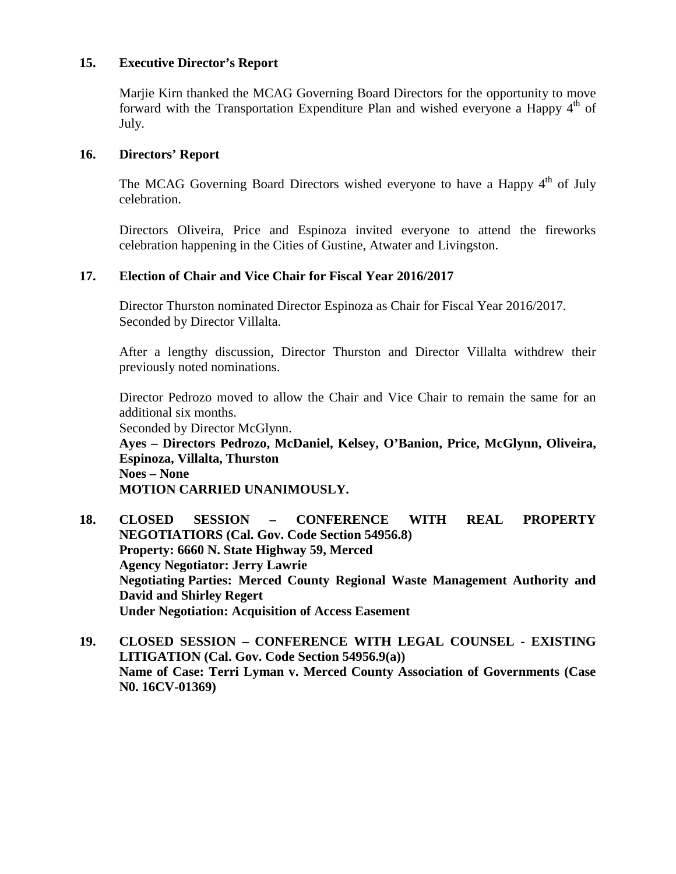## **15. Executive Director's Report**

Marjie Kirn thanked the MCAG Governing Board Directors for the opportunity to move forward with the Transportation Expenditure Plan and wished everyone a Happy  $4<sup>th</sup>$  of July.

## **16. Directors' Report**

The MCAG Governing Board Directors wished everyone to have a Happy  $4<sup>th</sup>$  of July celebration.

Directors Oliveira, Price and Espinoza invited everyone to attend the fireworks celebration happening in the Cities of Gustine, Atwater and Livingston.

## **17. Election of Chair and Vice Chair for Fiscal Year 2016/2017**

Director Thurston nominated Director Espinoza as Chair for Fiscal Year 2016/2017. Seconded by Director Villalta.

After a lengthy discussion, Director Thurston and Director Villalta withdrew their previously noted nominations.

Director Pedrozo moved to allow the Chair and Vice Chair to remain the same for an additional six months.

Seconded by Director McGlynn. **Ayes – Directors Pedrozo, McDaniel, Kelsey, O'Banion, Price, McGlynn, Oliveira, Espinoza, Villalta, Thurston Noes – None**

**MOTION CARRIED UNANIMOUSLY.**

- **18. CLOSED SESSION – CONFERENCE WITH REAL PROPERTY NEGOTIATIORS (Cal. Gov. Code Section 54956.8) Property: 6660 N. State Highway 59, Merced Agency Negotiator: Jerry Lawrie Negotiating Parties: Merced County Regional Waste Management Authority and David and Shirley Regert Under Negotiation: Acquisition of Access Easement**
- **19. CLOSED SESSION – CONFERENCE WITH LEGAL COUNSEL - EXISTING LITIGATION (Cal. Gov. Code Section 54956.9(a)) Name of Case: Terri Lyman v. Merced County Association of Governments (Case N0. 16CV-01369)**